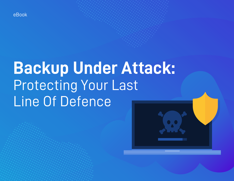

# **Backup Under Attack:**  Protecting Your Last Line Of Defence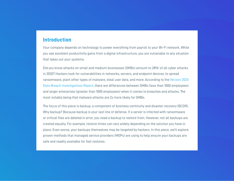## **Introduction**

Your company depends on technology to power everything from payroll to your Wi-Fi network. While you see excellent productivity gains from a digital infrastructure, you are vulnerable to any situation that takes out your systems.

Did you know attacks on small and medium businesses (SMBs) amount to 28%<sup>1</sup> of all cyber attacks in 2020? Hackers look for vulnerabilities in networks, servers, and endpoint devices, to spread ransomware, plant other types of malware, steal user data, and more. According to the [Verizon 2020](https://enterprise.verizon.com/resources/reports/dbir/)  [Data Breach Investigations Report,](https://enterprise.verizon.com/resources/reports/dbir/) there are differences between SMBs (less than 1000 employees) and larger enterprises (greater than 1000 employees) when it comes to breaches and attacks. The most notable being that malware attacks are 2x more likely for SMBs.

The focus of this piece is backup, a component of business continuity and disaster recovery (BCDR). Why backup? Because backup is your last line of defense. If a server is infected with ransomware or critical files are deleted in error, you need a backup to restore from. However, not all backups are created equally. For example, restore times can vary widely depending on the solution you have in place. Even worse, your backups themselves may be targeted by hackers. In this piece, we'll explore proven methods that managed service providers (MSPs) are using to help ensure your backups are safe and readily available for fast restores.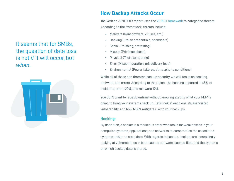It seems that for SMBs, the question of data loss is not *if* it will occur, but *when*.



# **How Backup Attacks Occur**

The Verizon 2020 DBIR report uses the [VERIS Framework](http://veriscommunity.net/) to categorise threats. According to the framework, threats include:

- Malware (Ransomware, viruses, etc.)
- Hacking (Stolen credentials, backdoors)
- Social (Phishing, pretexting)
- Misuse (Privilege abuse)
- Physical (Theft, tampering)
- Error (Misconfiguration, misdelivery, loss)
- Environmental (Power failures, atmospheric conditions)

While all of these can threaten backup security, we will focus on hacking, malware, and errors. According to the report, the hacking occurred in 45% of incidents, errors 22%, and malware 17%.

You don't want to face downtime without knowing exactly what your MSP is doing to bring your systems back up. Let's look at each one, its associated vulnerability, and how MSPs mitigate risk to your backups.

## **Hacking:**

By definition, a hacker is a malicious actor who looks for weaknesses in your computer systems, applications, and networks to compromise the associated systems and/or to steal data. With regards to backup, hackers are increasingly looking at vulnerabilities in both backup software, backup files, and the systems on which backup data is stored.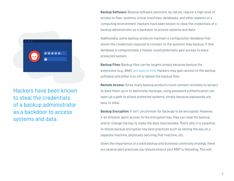

Hackers have been known to steal the credentials of a backup administrator as a backdoor to access systems and data.

**Backup Software:** Backup software solutions, by nature, require a high level of access to files, systems, virtual machines, databases, and other aspects of a computing environment. Hackers have been known to steal the credentials of a backup administrator as a backdoor to access systems and data.

Additionally, some backup products maintain a configuration database that stores the credentials required to connect to the systems they backup. If that database is compromised, a hacker could potentially gain access to every protected system.

**Backup Files:** Backup files can be targets simply because backup file extensions (e.g., BAK), [are easy to find](https://fileinfo.com/filetypes/backup). Hackers may gain access to the backup software and either turn off or delete the backup files.

**Remote Access:** Since many backup products must connect remotely to servers to back them up or to administer backups, using password authentication can open up a path to attack protected systems, simply because passwords are easy to steal.

**Backup Encryption:** It isn't uncommon for backups to be encrypted. However, if an attacker gains access to the encryption key, they can read the backup and/or change the key to make the data inaccessible. That's why it is essential to follow backup encryption key best practices such as storing the key on a separate machine, physically securing that machine, etc.

Given the importance of a solid backup and business continuity strategy, there are several best practices you should ensure your MSP is following. This will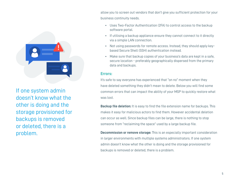

If one system admin doesn't know what the other is doing and the storage provisioned for backups is removed or deleted, there is a problem.

allow you to screen out vendors that don't give you sufficient protection for your business continuity needs.

- Uses Two-Factor Authentication (2FA) to control access to the backup software portal.
- If utilising a backup appliance ensure they cannot connect to it directly via a simple LAN connection.
- Not using passwords for remote access. Instead, they should apply keybased Secure Shell (SSH) authentication instead.
- Make sure that backup copies of your business's data are kept in a safe, secure location - preferably geographically dispersed from the primary data and backups.

#### **Errors:**

It's safe to say everyone has experienced that "on no" moment when they have deleted something they didn't mean to delete. Below you will find some common errors that can impact the ability of your MSP to quickly restore what was lost.

**Backup file deletion:** It is easy to find the file extension name for backups. This makes it easy for malicious actors to find them. However accidental deletion can occur as well. Since backup files can be large, there is nothing to stop someone from "reclaiming the space" used by a large backup file.

**Decommission or remove storage:** This is an especially important consideration in larger environments with multiple systems administrators. If one system admin doesn't know what the other is doing and the storage provisioned for backups is removed or deleted, there is a problem.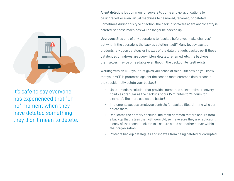

It's safe to say everyone has experienced that "oh no" moment when they have deleted something they didn't mean to delete. **Agent deletion:** It's common for servers to come and go, applications to be upgraded, or even virtual machines to be moved, renamed, or deleted. Sometimes during this type of action, the backup software agent and/or entry is deleted, so those machines will no longer be backed up.

**Upgrades:** Step one of any upgrade is to "backup before you make changes" but what if the upgrade is the backup solution itself? Many legacy backup products rely upon catalogs or indexes of the data that gets backed up. If those catalogues or indexes are overwritten, deleted, renamed, etc. the backups themselves may be unreadable even though the backup file itself exists.

Working with an MSP you trust gives you peace of mind. But how do you know that your MSP is protected against the second most common data breach if they accidentally delete your backup?

- Uses a modern solution that provides numerous point-in-time recovery points as granular as the backups occur (5 minutes to 24 hours for example). The more copies the better!
- Implements access employee controls for backup files, limiting who can delete them.
- Replicates the primary backups. The most common restore occurs from a backup that is less than 48 hours old, so make sure they are replicating a copy of the recent backups to a secure cloud or another server within their organisation.
- Protects backup catalogues and indexes from being deleted or corrupted.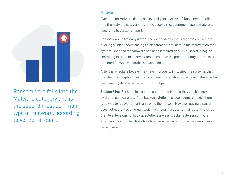

Ransomware falls into the Malware category and is the second most common type of malware, according to Verizon's report.

#### **Malware:**

Even though Malware decreased overall year-over-year<sup>2</sup>, Ransomware falls into the Malware category and is the second most common type of malware, according to Verizon's report.

Ransomware is typically distributed via phishing emails that trick a user into clicking a link or downloading an attachment that installs the malware on their system. Once the ransomware has been installed on a PC or server, it begins searching for files to encrypt. Since ransomware spreads silently, it often isn't detected for weeks, months, or even longer.

After the attackers believe they have thoroughly infiltrated the systems, they then begin encrypting files to make them unavailable to the users. Files may be permanently deleted if the ransom is not paid.

**Backup Files:** Backup files are just another file type, so they can be encrypted by the ransomware too. If the backup solution has been compromised, there is no way to recover other than paying the ransom. However, paying a ransom does not guarantee an organisation will regain access to their data. And since the file extensions for backup solutions are easily attainable, ransomware attackers can go after those files to ensure the compromised systems cannot be recovered.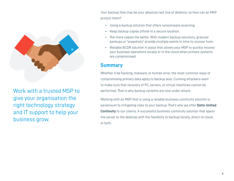

Work with a trusted MSP to give your organisation the right technology strategy and IT support to help your business grow.

Your backup files may be your absolute last line of defence, so how can an MSP protect them?

- Using a backup solution that offers ransomware scanning.
- Keep backup copies offsite in a secure location.
- The more copies the better. With modern backup solutions, granular backups or "snapshots" provide multiple points in time to recover from.
- Reliable BCDR solution in place that allows your MSP to quickly recover your business operations locally or in the cloud when primary systems are compromised.

# **Summary**

Whether it be hacking, malware, or human error, the most common ways of compromising primary data apply to backup also. Cunning attackers want to make sure that recovery of PC, servers, or virtual machines cannot be performed. That is why backup systems are now under attack.

Working with an MSP that is using a reliable business continuity solution is paramount to mitigating risks to your backup. That's why we offer **Datto Unified Continuity** to our clients. A successful business continuity solution that spans the server to the desktop with the flexibility to backup locally, direct to cloud, or both.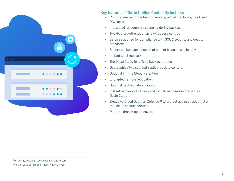

## **Key features of Datto Unified Continuity include:**

- Comprehensive protection for servers, virtual machines, SaaS, and PC/Laptops
- Integrated ransomware scanning during backup
- Two-Factor Authentication (2FA) access control
- Services audited for compliance with SOC 2 security and quality standards
- Secure backup appliances that cannot be accessed locally
- Instant local recovery
- The Datto Cloud for offsite backup storage
- Geographically dispersed, replicated data centers
- Optional Infinite Cloud Retention
- Encrypted remote replication
- Optional backup data encryption
- Instant recovery of servers and virtual machines in the secure Datto Cloud
- Exclusive Cloud Deletion Defense™ to protect against accidental or malicious backup deletion
- Point-in-time image recovery

<sup>&</sup>lt;sup>1</sup>Verizon 2020 Data Breach Investigations Report 2 Verizon 2020 Data Breach Investigations Report